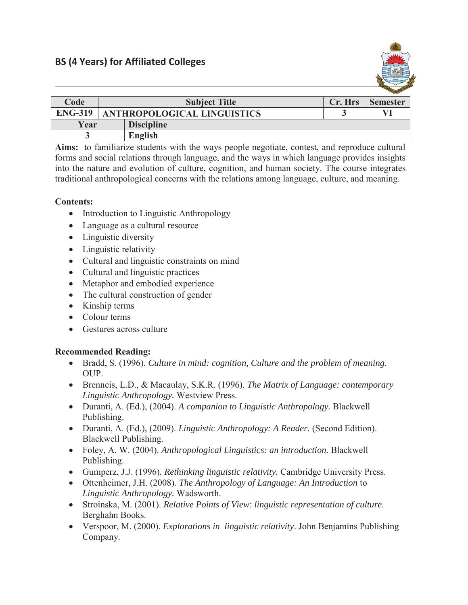

| Code           | <b>Subject Title</b>               |                   | Cr. Hrs | <b>Semester</b> |
|----------------|------------------------------------|-------------------|---------|-----------------|
| <b>ENG-319</b> | <b>ANTHROPOLOGICAL LINGUISTICS</b> |                   |         |                 |
| Year           |                                    | <b>Discipline</b> |         |                 |
|                |                                    | English           |         |                 |

**Aims:** to familiarize students with the ways people negotiate, contest, and reproduce cultural forms and social relations through language, and the ways in which language provides insights into the nature and evolution of culture, cognition, and human society. The course integrates traditional anthropological concerns with the relations among language, culture, and meaning.

## **Contents:**

- Introduction to Linguistic Anthropology
- Language as a cultural resource
- $\bullet$  Linguistic diversity
- $\bullet$  Linguistic relativity
- Cultural and linguistic constraints on mind
- $\bullet$  Cultural and linguistic practices
- Metaphor and embodied experience
- The cultural construction of gender
- $\bullet$  Kinship terms
- $\bullet$  Colour terms
- $\bullet$  Gestures across culture

## **Recommended Reading:**

- x Bradd, S. (1996). *Culture in mind: cognition, Culture and the problem of meaning*. OUP.
- x Brenneis, L.D., & Macaulay, S.K.R. (1996). *The Matrix of Language: contemporary Linguistic Anthropology.* Westview Press.
- x Duranti, A. (Ed.), (2004). *A companion to Linguistic Anthropology.* Blackwell Publishing.
- x Duranti, A. (Ed.), (2009). *Linguistic Anthropology: A Reader.* (Second Edition). Blackwell Publishing.
- x Foley, A. W. (2004). *Anthropological Linguistics: an introduction.* Blackwell Publishing.
- x Gumperz, J.J. (1996)*. Rethinking linguistic relativity.* Cambridge University Press.
- x Ottenheimer, J.H. (2008). *The Anthropology of Language: An Introduction* to *Linguistic Anthropology.* Wadsworth.
- x Stroinska, M. (2001). *Relative Points of View*: *linguistic representation of culture.*  Berghahn Books.
- x Verspoor, M. (2000). *Explorations in linguistic relativity*. John Benjamins Publishing Company.